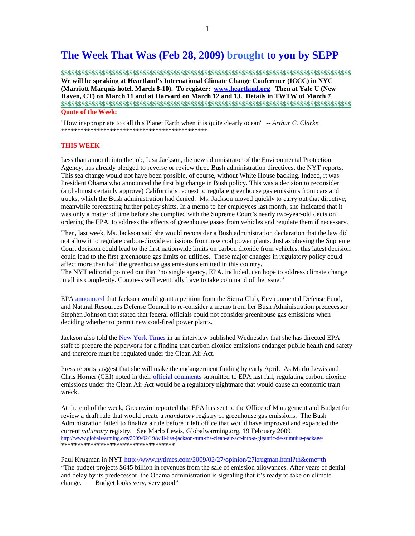# **The Week That Was (Feb 28, 2009) brought to you by SEPP**

**\$\$\$\$\$\$\$\$\$\$\$\$\$\$\$\$\$\$\$\$\$\$\$\$\$\$\$\$\$\$\$\$\$\$\$\$\$\$\$\$\$\$\$\$\$\$\$\$\$\$\$\$\$\$\$\$\$\$\$\$\$\$\$\$\$\$\$\$\$\$\$\$\$\$\$\$\$\$\$\$\$\$\$\$\$**

**We will be speaking at Heartland's International Climate Change Conference (ICCC) in NYC (Marriott Marquis hotel, March 8-10). To register: www.heartland.org Then at Yale U (New Haven, CT) on March 11 and at Harvard on March 12 and 13. Details in TWTW of March 7 \$\$\$\$\$\$\$\$\$\$\$\$\$\$\$\$\$\$\$\$\$\$\$\$\$\$\$\$\$\$\$\$\$\$\$\$\$\$\$\$\$\$\$\$\$\$\$\$\$\$\$\$\$\$\$\$\$\$\$\$\$\$\$\$\$\$\$\$\$\$\$\$\$\$\$\$\$\$\$\$\$\$\$\$\$ Quote of the Week:**

"How inappropriate to call this Planet Earth when it is quite clearly ocean" -- *Arthur C. Clarke* \*\*\*\*\*\*\*\*\*\*\*\*\*\*\*\*\*\*\*\*\*\*\*\*\*\*\*\*\*\*\*\*\*\*\*\*\*\*\*\*\*\*\*\*\*

#### **THIS WEEK**

Less than a month into the job, Lisa Jackson, the new administrator of the Environmental Protection Agency, has already pledged to reverse or review three Bush administration directives, the NYT reports. This sea change would not have been possible, of course, without White House backing. Indeed, it was President Obama who announced the first big change in Bush policy. This was a decision to reconsider (and almost certainly approve) California's request to regulate greenhouse gas emissions from cars and trucks, which the Bush administration had denied. Ms. Jackson moved quickly to carry out that directive, meanwhile forecasting further policy shifts. In a memo to her employees last month, she indicated that it was only a matter of time before she complied with the Supreme Court's nearly two-year-old decision ordering the EPA. to address the effects of greenhouse gases from vehicles and regulate them if necessary.

Then, last week, Ms. Jackson said she would reconsider a Bush administration declaration that the law did not allow it to regulate carbon-dioxide emissions from new coal power plants. Just as obeying the Supreme Court decision could lead to the first nationwide limits on carbon dioxide from vehicles, this latest decision could lead to the first greenhouse gas limits on utilities. These major changes in regulatory policy could affect more than half the greenhouse gas emissions emitted in this country.

The NYT editorial pointed out that "no single agency, EPA. included, can hope to address climate change in all its complexity. Congress will eventually have to take command of the issue."

EPA announced that Jackson would grant a petition from the Sierra Club, Environmental Defense Fund, and Natural Resources Defense Council to re-consider a memo from her Bush Administration predecessor Stephen Johnson that stated that federal officials could not consider greenhouse gas emissions when deciding whether to permit new coal-fired power plants.

Jackson also told the New York Times in an interview published Wednesday that she has directed EPA staff to prepare the paperwork for a finding that carbon dioxide emissions endanger public health and safety and therefore must be regulated under the Clean Air Act.

Press reports suggest that she will make the endangerment finding by early April. As Marlo Lewis and Chris Horner (CEI) noted in their official comments submitted to EPA last fall, regulating carbon dioxide emissions under the Clean Air Act would be a regulatory nightmare that would cause an economic train wreck.

At the end of the week, Greenwire reported that EPA has sent to the Office of Management and Budget for review a draft rule that would create a *mandatory* registry of greenhouse gas emissions. The Bush Administration failed to finalize a rule before it left office that would have improved and expanded the current *voluntary* registry. See Marlo Lewis, Globalwarming.org, 19 February 2009 http://www.globalwarming.org/2009/02/19/will-lisa-jackson-turn-the-clean-air-act-into-a-gigantic-de-stimulus-package/ \*\*\*\*\*\*\*\*\*\*\*\*\*\*\*\*\*\*\*\*\*\*\*\*\*\*\*\*\*\*\*\*\*\*\*

Paul Krugman in NYT http://www.nytimes.com/2009/02/27/opinion/27krugman.html?th&emc=th "The budget projects \$645 billion in revenues from the sale of emission allowances. After years of denial and delay by its predecessor, the Obama administration is signaling that it's ready to take on climate change. Budget looks very, very good"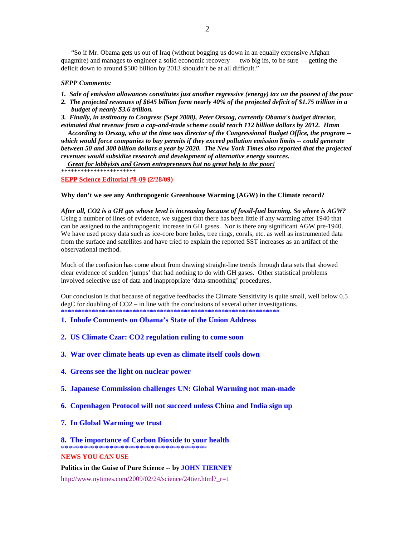"So if Mr. Obama gets us out of Iraq (without bogging us down in an equally expensive Afghan quagmire) and manages to engineer a solid economic recovery — two big ifs, to be sure — getting the deficit down to around \$500 billion by 2013 shouldn't be at all difficult."

#### *SEPP Comments:*

- *1. Sale of emission allowances constitutes just another regressive (energy) tax on the poorest of the poor*
- *2. The projected revenues of \$645 billion form nearly 40% of the projected deficit of \$1.75 trillion in a budget of nearly \$3.6 trillion.*

*3. Finally, in testimony to Congress (Sept 2008), Peter Orszag, currently Obama's budget director, estimated that revenue from a cap-and-trade scheme could reach 112 billion dollars by 2012. Hmm* 

 *According to Orszag, who at the time was director of the Congressional Budget Office, the program - which would force companies to buy permits if they exceed pollution emission limits -- could generate between 50 and 300 billion dollars a year by 2020. The New York Times also reported that the projected revenues would subsidize research and development of alternative energy sources.* 

 *Great for lobbyists and Green entrepreneurs but no great help to the poor!*

\*\*\*\*\*\*\*\*\*\*\*\*\*\*\*\*\*\*\*\*\*\*\*

**SEPP Science Editorial #8-09 (2/28/09)** 

#### **Why don't we see any Anthropogenic Greenhouse Warming (AGW) in the Climate record?**

*After all, CO2 is a GH gas whose level is increasing because of fossil-fuel burning. So where is AGW?*  Using a number of lines of evidence, we suggest that there has been little if any warming after 1940 that can be assigned to the anthropogenic increase in GH gases. Nor is there any significant AGW pre-1940. We have used proxy data such as ice-core bore holes, tree rings, corals, etc. as well as instrumented data from the surface and satellites and have tried to explain the reported SST increases as an artifact of the observational method.

Much of the confusion has come about from drawing straight-line trends through data sets that showed clear evidence of sudden 'jumps' that had nothing to do with GH gases. Other statistical problems involved selective use of data and inappropriate 'data-smoothing' procedures.

Our conclusion is that because of negative feedbacks the Climate Sensitivity is quite small, well below 0.5 degC for doubling of CO2 – in line with the conclusions of several other investigations. **\*\*\*\*\*\*\*\*\*\*\*\*\*\*\*\*\*\*\*\*\*\*\*\*\*\*\*\*\*\*\*\*\*\*\*\*\*\*\*\*\*\*\*\*\*\*\*\*\*\*\*\*\*\*\*\*\*\*\*\*\*\*\*\***

- **1. Inhofe Comments on Obama's State of the Union Address**
- **2. US Climate Czar: CO2 regulation ruling to come soon**
- **3. War over climate heats up even as climate itself cools down**
- **4. Greens see the light on nuclear power**
- **5. Japanese Commission challenges UN: Global Warming not man-made**
- **6. Copenhagen Protocol will not succeed unless China and India sign up**
- **7. In Global Warming we trust**

**8. The importance of Carbon Dioxide to your health**  \*\*\*\*\*\*\*\*\*\*\*\*\*\*\*\*\*\*\*\*\*\*\*\*\*\*\*\*\*\*\*\*\*\*\*\*\*\*\*

#### **NEWS YOU CAN USE**

**Politics in the Guise of Pure Science -- by JOHN TIERNEY** http://www.nytimes.com/2009/02/24/science/24tier.html?\_r=1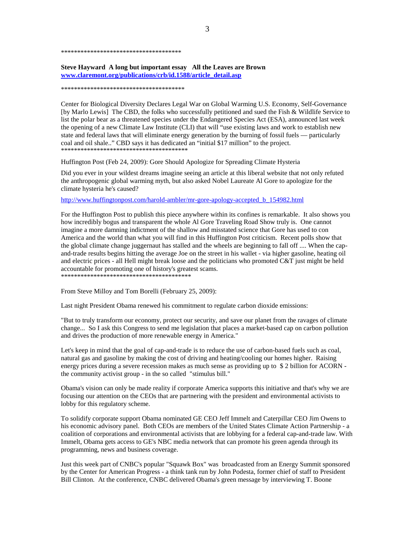#### \*\*\*\*\*\*\*\*\*\*\*\*\*\*\*\*\*\*\*\*\*\*\*\*\*\*\*\*\*\*\*\*\*\*\*\*\*

#### **Steve Hayward A long but important essay All the Leaves are Brown www.claremont.org/publications/crb/id.1588/article\_detail.asp**

\*\*\*\*\*\*\*\*\*\*\*\*\*\*\*\*\*\*\*\*\*\*\*\*\*\*\*\*\*\*\*\*\*\*\*\*\*\*

Center for Biological Diversity Declares Legal War on Global Warming U.S. Economy, Self-Governance [by Marlo Lewis] The CBD, the folks who successfully petitioned and sued the Fish & Wildlife Service to list the polar bear as a threatened species under the Endangered Species Act (ESA), announced last week the opening of a new Climate Law Institute (CLI) that will "use existing laws and work to establish new state and federal laws that will eliminate energy generation by the burning of fossil fuels — particularly coal and oil shale.." CBD says it has dedicated an "initial \$17 million" to the project. \*\*\*\*\*\*\*\*\*\*\*\*\*\*\*\*\*\*\*\*\*\*\*\*\*\*\*\*\*\*\*\*\*\*\*\*\*\*\*

Huffington Post (Feb 24, 2009): Gore Should Apologize for Spreading Climate Hysteria

Did you ever in your wildest dreams imagine seeing an article at this liberal website that not only refuted the anthropogenic global warming myth, but also asked Nobel Laureate Al Gore to apologize for the climate hysteria he's caused?

http://www.huffingtonpost.com/harold-ambler/mr-gore-apology-accepted\_b\_154982.html

For the Huffington Post to publish this piece anywhere within its confines is remarkable. It also shows you how incredibly bogus and transparent the whole Al Gore Traveling Road Show truly is. One cannot imagine a more damning indictment of the shallow and misstated science that Gore has used to con America and the world than what you will find in this Huffington Post criticism. Recent polls show that the global climate change juggernaut has stalled and the wheels are beginning to fall off .... When the capand-trade results begins hitting the average Joe on the street in his wallet - via higher gasoline, heating oil and electric prices - all Hell might break loose and the politicians who promoted C&T just might be held accountable for promoting one of history's greatest scams. \*\*\*\*\*\*\*\*\*\*\*\*\*\*\*\*\*\*\*\*\*\*\*\*\*\*\*\*\*\*\*\*\*\*\*\*\*\*\*\*

From Steve Milloy and Tom Borelli (February 25, 2009):

Last night President Obama renewed his commitment to regulate carbon dioxide emissions:

"But to truly transform our economy, protect our security, and save our planet from the ravages of climate change... So I ask this Congress to send me legislation that places a market-based cap on carbon pollution and drives the production of more renewable energy in America."

Let's keep in mind that the goal of cap-and-trade is to reduce the use of carbon-based fuels such as coal, natural gas and gasoline by making the cost of driving and heating/cooling our homes higher. Raising energy prices during a severe recession makes as much sense as providing up to \$ 2 billion for ACORN the community activist group - in the so called "stimulus bill."

Obama's vision can only be made reality if corporate America supports this initiative and that's why we are focusing our attention on the CEOs that are partnering with the president and environmental activists to lobby for this regulatory scheme.

To solidify corporate support Obama nominated GE CEO Jeff Immelt and Caterpillar CEO Jim Owens to his economic advisory panel. Both CEOs are members of the United States Climate Action Partnership - a coalition of corporations and environmental activists that are lobbying for a federal cap-and-trade law. With Immelt, Obama gets access to GE's NBC media network that can promote his green agenda through its programming, news and business coverage.

Just this week part of CNBC's popular "Squawk Box" was broadcasted from an Energy Summit sponsored by the Center for American Progress - a think tank run by John Podesta, former chief of staff to President Bill Clinton. At the conference, CNBC delivered Obama's green message by interviewing T. Boone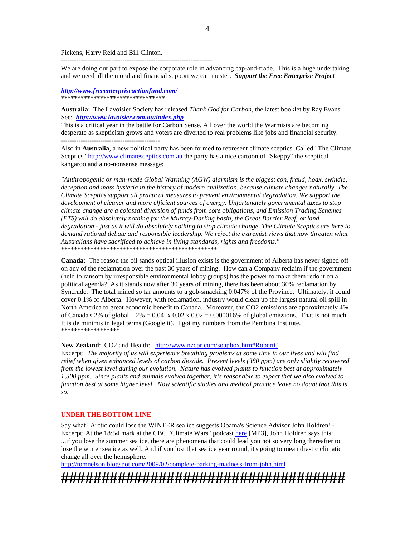Pickens, Harry Reid and Bill Clinton.

We are doing our part to expose the corporate role in advancing cap-and-trade. This is a huge undertaking and we need all the moral and financial support we can muster. *Support the Free Enterprise Project* 

#### *http://www.freeenterpriseactionfund.com/* \*\*\*\*\*\*\*\*\*\*\*\*\*\*\*\*\*\*\*\*\*\*\*\*\*\*\*\*\*\*\*\*\*\*

---------------------------------------------------------------------

**Australia**: The Lavoisier Society has released *Thank God for Carbon*, the latest booklet by Ray Evans. See: *http://www.lavoisier.com.au/index.php*

This is a critical year in the battle for Carbon Sense. All over the world the Warmists are becoming desperate as skepticism grows and voters are diverted to real problems like jobs and financial security. ---------------------------------------------

Also in **Australia**, a new political party has been formed to represent climate sceptics. Called "The Climate Sceptics" http://www.climatesceptics.com.au the party has a nice cartoon of "Skeppy" the sceptical kangaroo and a no-nonsense message:

*"Anthropogenic or man-made Global Warming (AGW) alarmism is the biggest con, fraud, hoax, swindle, deception and mass hysteria in the history of modern civilization, because climate changes naturally. The Climate Sceptics support all practical measures to prevent environmental degradation. We support the development of cleaner and more efficient sources of energy. Unfortunately governmental taxes to stop climate change are a colossal diversion of funds from core obligations, and Emission Trading Schemes (ETS) will do absolutely nothing for the Murray-Darling basin, the Great Barrier Reef, or land degradation - just as it will do absolutely nothing to stop climate change. The Climate Sceptics are here to demand rational debate and responsible leadership. We reject the extremist views that now threaten what Australians have sacrificed to achieve in living standards, rights and freedoms."*  \*\*\*\*\*\*\*\*\*\*\*\*\*\*\*\*\*\*\*\*\*\*\*\*\*\*\*\*\*\*\*\*\*\*\*\*\*\*\*\*\*\*\*\*\*\*\*\*

**Canada**: The reason the oil sands optical illusion exists is the government of Alberta has never signed off on any of the reclamation over the past 30 years of mining. How can a Company reclaim if the government (held to ransom by irresponsible environmental lobby groups) has the power to make them redo it on a political agenda? As it stands now after 30 years of mining, there has been about 30% reclamation by Syncrude. The total mined so far amounts to a gob-smacking 0.047% of the Province. Ultimately, it could cover 0.1% of Alberta. However, with reclamation, industry would clean up the largest natural oil spill in North America to great economic benefit to Canada. Moreover, the CO2 emissions are approximately 4% of Canada's 2% of global.  $2\% = 0.04 \times 0.02 \times 0.02 = 0.000016\%$  of global emissions. That is not much. It is de minimis in legal terms (Google it). I got my numbers from the Pembina Institute. -<br>\*\*\*\*\*\*\*\*\*\*\*\*\*\*\*\*\*\*

#### New Zealand: CO2 and Health: http://www.nzcpr.com/soapbox.htm#RobertC

Excerpt: *The majority of us will experience breathing problems at some time in our lives and will find relief when given enhanced levels of carbon dioxide. Present levels (380 ppm) are only slightly recovered from the lowest level during our evolution. Nature has evolved plants to function best at approximately 1,500 ppm. Since plants and animals evolved together, it's reasonable to expect that we also evolved to function best at some higher level. Now scientific studies and medical practice leave no doubt that this is so.* 

#### **UNDER THE BOTTOM LINE**

Say what? Arctic could lose the WINTER sea ice suggests Obama's Science Advisor John Holdren! - Excerpt: At the 18:54 mark at the CBC "Climate Wars" podcast here [MP3], John Holdren says this: ...if you lose the summer sea ice, there are phenomena that could lead you not so very long thereafter to lose the winter sea ice as well. And if you lost that sea ice year round, it's going to mean drastic climatic change all over the hemisphere.

http://tomnelson.blogspot.com/2009/02/complete-barking-madness-from-john.html

**###################################**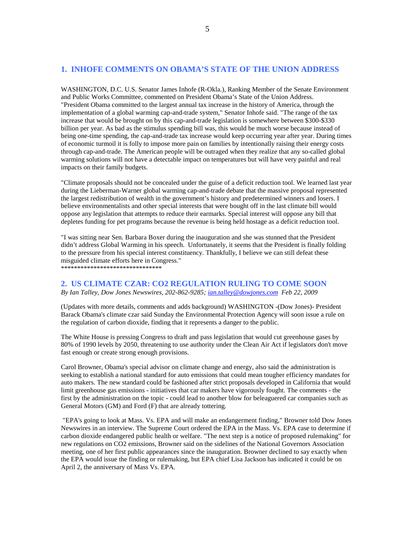## **1. INHOFE COMMENTS ON OBAMA'S STATE OF THE UNION ADDRESS**

WASHINGTON, D.C. U.S. Senator James Inhofe (R-Okla.), Ranking Member of the Senate Environment and Public Works Committee, commented on President Obama's State of the Union Address. "President Obama committed to the largest annual tax increase in the history of America, through the implementation of a global warming cap-and-trade system," Senator Inhofe said. "The range of the tax increase that would be brought on by this cap-and-trade legislation is somewhere between \$300-\$330 billion per year. As bad as the stimulus spending bill was, this would be much worse because instead of being one-time spending, the cap-and-trade tax increase would keep occurring year after year. During times of economic turmoil it is folly to impose more pain on families by intentionally raising their energy costs through cap-and-trade. The American people will be outraged when they realize that any so-called global warming solutions will not have a detectable impact on temperatures but will have very painful and real impacts on their family budgets.

"Climate proposals should not be concealed under the guise of a deficit reduction tool. We learned last year during the Lieberman-Warner global warming cap-and-trade debate that the massive proposal represented the largest redistribution of wealth in the government's history and predetermined winners and losers. I believe environmentalists and other special interests that were bought off in the last climate bill would oppose any legislation that attempts to reduce their earmarks. Special interest will oppose any bill that depletes funding for pet programs because the revenue is being held hostage as a deficit reduction tool.

"I was sitting near Sen. Barbara Boxer during the inauguration and she was stunned that the President didn't address Global Warming in his speech. Unfortunately, it seems that the President is finally folding to the pressure from his special interest constituency. Thankfully, I believe we can still defeat these misguided climate efforts here in Congress." \*\*\*\*\*\*\*\*\*\*\*\*\*\*\*\*\*\*\*\*\*\*\*\*\*\*\*\*\*\*\*

## **2. US CLIMATE CZAR: CO2 REGULATION RULING TO COME SOON**

*By Ian Talley, Dow Jones Newswires, 202-862-9285; ian.talley@dowjones.com Feb 22, 2009* 

(Updates with more details, comments and adds background) WASHINGTON -(Dow Jones)- President Barack Obama's climate czar said Sunday the Environmental Protection Agency will soon issue a rule on the regulation of carbon dioxide, finding that it represents a danger to the public.

The White House is pressing Congress to draft and pass legislation that would cut greenhouse gases by 80% of 1990 levels by 2050, threatening to use authority under the Clean Air Act if legislators don't move fast enough or create strong enough provisions.

Carol Browner, Obama's special advisor on climate change and energy, also said the administration is seeking to establish a national standard for auto emissions that could mean tougher efficiency mandates for auto makers. The new standard could be fashioned after strict proposals developed in California that would limit greenhouse gas emissions - initiatives that car makers have vigorously fought. The comments - the first by the administration on the topic - could lead to another blow for beleaguered car companies such as General Motors (GM) and Ford (F) that are already tottering.

 "EPA's going to look at Mass. Vs. EPA and will make an endangerment finding," Browner told Dow Jones Newswires in an interview. The Supreme Court ordered the EPA in the Mass. Vs. EPA case to determine if carbon dioxide endangered public health or welfare. "The next step is a notice of proposed rulemaking" for new regulations on CO2 emissions, Browner said on the sidelines of the National Governors Association meeting, one of her first public appearances since the inauguration. Browner declined to say exactly when the EPA would issue the finding or rulemaking, but EPA chief Lisa Jackson has indicated it could be on April 2, the anniversary of Mass Vs. EPA.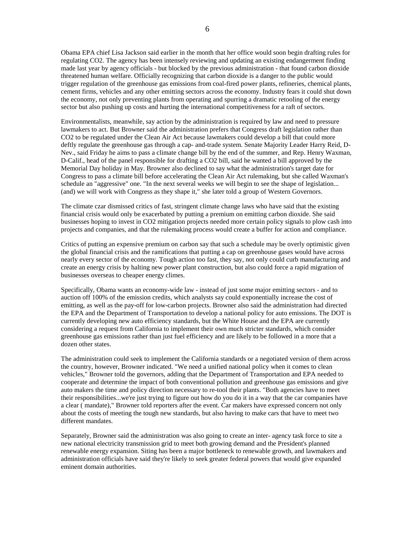Obama EPA chief Lisa Jackson said earlier in the month that her office would soon begin drafting rules for regulating CO2. The agency has been intensely reviewing and updating an existing endangerment finding made last year by agency officials - but blocked by the previous administration - that found carbon dioxide threatened human welfare. Officially recognizing that carbon dioxide is a danger to the public would trigger regulation of the greenhouse gas emissions from coal-fired power plants, refineries, chemical plants, cement firms, vehicles and any other emitting sectors across the economy. Industry fears it could shut down the economy, not only preventing plants from operating and spurring a dramatic retooling of the energy sector but also pushing up costs and hurting the international competitiveness for a raft of sectors.

Environmentalists, meanwhile, say action by the administration is required by law and need to pressure lawmakers to act. But Browner said the administration prefers that Congress draft legislation rather than CO2 to be regulated under the Clean Air Act because lawmakers could develop a bill that could more deftly regulate the greenhouse gas through a cap- and-trade system. Senate Majority Leader Harry Reid, D-Nev., said Friday he aims to pass a climate change bill by the end of the summer, and Rep. Henry Waxman, D-Calif., head of the panel responsible for drafting a CO2 bill, said he wanted a bill approved by the Memorial Day holiday in May. Browner also declined to say what the administration's target date for Congress to pass a climate bill before accelerating the Clean Air Act rulemaking, but she called Waxman's schedule an "aggressive" one. "In the next several weeks we will begin to see the shape of legislation... (and) we will work with Congress as they shape it," she later told a group of Western Governors.

The climate czar dismissed critics of fast, stringent climate change laws who have said that the existing financial crisis would only be exacerbated by putting a premium on emitting carbon dioxide. She said businesses hoping to invest in CO2 mitigation projects needed more certain policy signals to plow cash into projects and companies, and that the rulemaking process would create a buffer for action and compliance.

Critics of putting an expensive premium on carbon say that such a schedule may be overly optimistic given the global financial crisis and the ramifications that putting a cap on greenhouse gases would have across nearly every sector of the economy. Tough action too fast, they say, not only could curb manufacturing and create an energy crisis by halting new power plant construction, but also could force a rapid migration of businesses overseas to cheaper energy climes.

Specifically, Obama wants an economy-wide law - instead of just some major emitting sectors - and to auction off 100% of the emission credits, which analysts say could exponentially increase the cost of emitting, as well as the pay-off for low-carbon projects. Browner also said the administration had directed the EPA and the Department of Transportation to develop a national policy for auto emissions. The DOT is currently developing new auto efficiency standards, but the White House and the EPA are currently considering a request from California to implement their own much stricter standards, which consider greenhouse gas emissions rather than just fuel efficiency and are likely to be followed in a more that a dozen other states.

The administration could seek to implement the California standards or a negotiated version of them across the country, however, Browner indicated. "We need a unified national policy when it comes to clean vehicles," Browner told the governors, adding that the Department of Transportation and EPA needed to cooperate and determine the impact of both conventional pollution and greenhouse gas emissions and give auto makers the time and policy direction necessary to re-tool their plants. "Both agencies have to meet their responsibilities...we're just trying to figure out how do you do it in a way that the car companies have a clear ( mandate)," Browner told reporters after the event. Car makers have expressed concern not only about the costs of meeting the tough new standards, but also having to make cars that have to meet two different mandates.

Separately, Browner said the administration was also going to create an inter- agency task force to site a new national electricity transmission grid to meet both growing demand and the President's planned renewable energy expansion. Siting has been a major bottleneck to renewable growth, and lawmakers and administration officials have said they're likely to seek greater federal powers that would give expanded eminent domain authorities.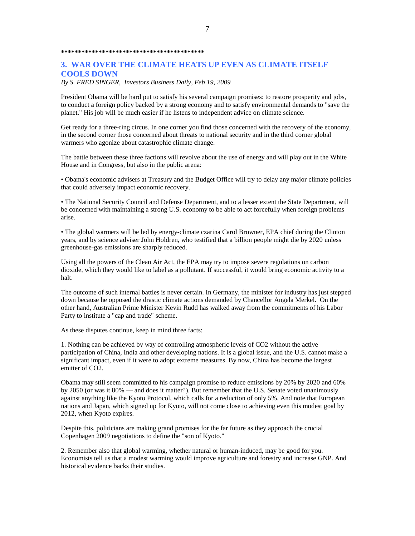#### **\*\*\*\*\*\*\*\*\*\*\*\*\*\*\*\*\*\*\*\*\*\*\*\*\*\*\*\*\*\*\*\*\*\*\*\*\*\*\*\*\*\***

# **3. WAR OVER THE CLIMATE HEATS UP EVEN AS CLIMATE ITSELF COOLS DOWN**

*By S. FRED SINGER, Investors Business Daily, Feb 19, 2009* 

President Obama will be hard put to satisfy his several campaign promises: to restore prosperity and jobs, to conduct a foreign policy backed by a strong economy and to satisfy environmental demands to "save the planet." His job will be much easier if he listens to independent advice on climate science.

Get ready for a three-ring circus. In one corner you find those concerned with the recovery of the economy, in the second corner those concerned about threats to national security and in the third corner global warmers who agonize about catastrophic climate change.

The battle between these three factions will revolve about the use of energy and will play out in the White House and in Congress, but also in the public arena:

• Obama's economic advisers at Treasury and the Budget Office will try to delay any major climate policies that could adversely impact economic recovery.

• The National Security Council and Defense Department, and to a lesser extent the State Department, will be concerned with maintaining a strong U.S. economy to be able to act forcefully when foreign problems arise.

• The global warmers will be led by energy-climate czarina Carol Browner, EPA chief during the Clinton years, and by science adviser John Holdren, who testified that a billion people might die by 2020 unless greenhouse-gas emissions are sharply reduced.

Using all the powers of the Clean Air Act, the EPA may try to impose severe regulations on carbon dioxide, which they would like to label as a pollutant. If successful, it would bring economic activity to a halt.

The outcome of such internal battles is never certain. In Germany, the minister for industry has just stepped down because he opposed the drastic climate actions demanded by Chancellor Angela Merkel. On the other hand, Australian Prime Minister Kevin Rudd has walked away from the commitments of his Labor Party to institute a "cap and trade" scheme.

As these disputes continue, keep in mind three facts:

1. Nothing can be achieved by way of controlling atmospheric levels of CO2 without the active participation of China, India and other developing nations. It is a global issue, and the U.S. cannot make a significant impact, even if it were to adopt extreme measures. By now, China has become the largest emitter of CO2.

Obama may still seem committed to his campaign promise to reduce emissions by 20% by 2020 and 60% by 2050 (or was it 80% — and does it matter?). But remember that the U.S. Senate voted unanimously against anything like the Kyoto Protocol, which calls for a reduction of only 5%. And note that European nations and Japan, which signed up for Kyoto, will not come close to achieving even this modest goal by 2012, when Kyoto expires.

Despite this, politicians are making grand promises for the far future as they approach the crucial Copenhagen 2009 negotiations to define the "son of Kyoto."

2. Remember also that global warming, whether natural or human-induced, may be good for you. Economists tell us that a modest warming would improve agriculture and forestry and increase GNP. And historical evidence backs their studies.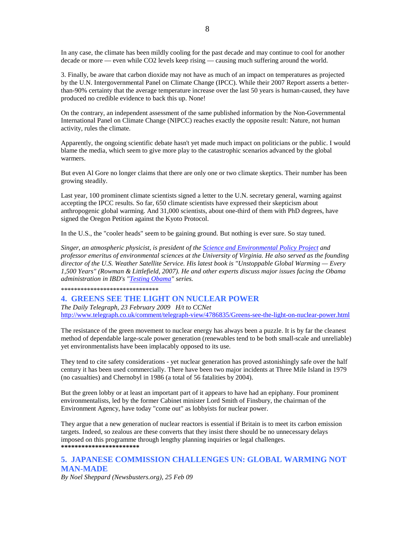In any case, the climate has been mildly cooling for the past decade and may continue to cool for another decade or more — even while CO2 levels keep rising — causing much suffering around the world.

3. Finally, be aware that carbon dioxide may not have as much of an impact on temperatures as projected by the U.N. Intergovernmental Panel on Climate Change (IPCC). While their 2007 Report asserts a betterthan-90% certainty that the average temperature increase over the last 50 years is human-caused, they have produced no credible evidence to back this up. None!

On the contrary, an independent assessment of the same published information by the Non-Governmental International Panel on Climate Change (NIPCC) reaches exactly the opposite result: Nature, not human activity, rules the climate.

Apparently, the ongoing scientific debate hasn't yet made much impact on politicians or the public. I would blame the media, which seem to give more play to the catastrophic scenarios advanced by the global warmers.

But even Al Gore no longer claims that there are only one or two climate skeptics. Their number has been growing steadily.

Last year, 100 prominent climate scientists signed a letter to the U.N. secretary general, warning against accepting the IPCC results. So far, 650 climate scientists have expressed their skepticism about anthropogenic global warming. And 31,000 scientists, about one-third of them with PhD degrees, have signed the Oregon Petition against the Kyoto Protocol.

In the U.S., the "cooler heads" seem to be gaining ground. But nothing is ever sure. So stay tuned.

*Singer, an atmospheric physicist, is president of the Science and Environmental Policy Project and professor emeritus of environmental sciences at the University of Virginia. He also served as the founding director of the U.S. Weather Satellite Service. His latest book is "Unstoppable Global Warming — Every 1,500 Years" (Rowman & Littlefield, 2007). He and other experts discuss major issues facing the Obama administration in IBD's "Testing Obama" series.*

\*\*\*\*\*\*\*\*\*\*\*\*\*\*\*\*\*\*\*\*\*\*\*\*\*\*\*\*\*\*

#### **4. GREENS SEE THE LIGHT ON NUCLEAR POWER**

*The Daily Telegraph, 23 February 2009 H/t to CCNet*  http://www.telegraph.co.uk/comment/telegraph-view/4786835/Greens-see-the-light-on-nuclear-power.html

The resistance of the green movement to nuclear energy has always been a puzzle. It is by far the cleanest method of dependable large-scale power generation (renewables tend to be both small-scale and unreliable) yet environmentalists have been implacably opposed to its use.

They tend to cite safety considerations - yet nuclear generation has proved astonishingly safe over the half century it has been used commercially. There have been two major incidents at Three Mile Island in 1979 (no casualties) and Chernobyl in 1986 (a total of 56 fatalities by 2004).

But the green lobby or at least an important part of it appears to have had an epiphany. Four prominent environmentalists, led by the former Cabinet minister Lord Smith of Finsbury, the chairman of the Environment Agency, have today "come out" as lobbyists for nuclear power.

They argue that a new generation of nuclear reactors is essential if Britain is to meet its carbon emission targets. Indeed, so zealous are these converts that they insist there should be no unnecessary delays imposed on this programme through lengthy planning inquiries or legal challenges. **\*\*\*\*\*\*\*\*\*\*\*\*\*\*\*\*\*\*\*\*\*\*\*** 

# **5. JAPANESE COMMISSION CHALLENGES UN: GLOBAL WARMING NOT MAN-MADE**

*By Noel Sheppard (Newsbusters.org), 25 Feb 09*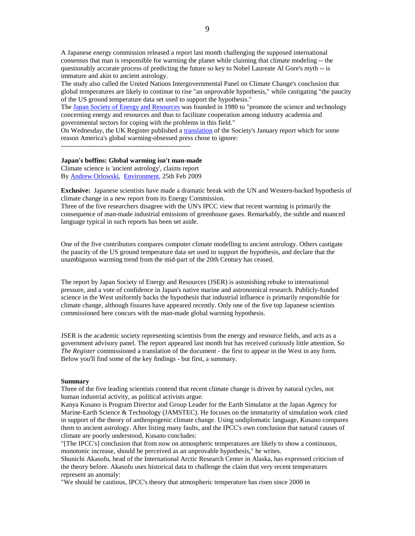A Japanese energy commission released a report last month challenging the supposed international consensus that man is responsible for warming the planet while claiming that climate modeling -- the questionably accurate process of predicting the future so key to Nobel Laureate Al Gore's myth -- is immature and akin to ancient astrology.

The study also called the United Nations Intergovernmental Panel on Climate Change's conclusion that global temperatures are likely to continue to rise "an unprovable hypothesis," while castigating "the paucity of the US ground temperature data set used to support the hypothesis."

The Japan Society of Energy and Resources was founded in 1980 to "promote the science and technology concerning energy and resources and thus to facilitate cooperation among industry academia and governmental sectors for coping with the problems in this field."

On Wednesday, the UK Register published a translation of the Society's January report which for some reason America's global warming-obsessed press chose to ignore:

-----------------------------------------------------------

#### **Japan's boffins: Global warming isn't man-made**

Climate science is 'ancient astrology', claims report By Andrew Orlowski, Environment, 25th Feb 2009

**Exclusive:** Japanese scientists have made a dramatic break with the UN and Western-backed hypothesis of climate change in a new report from its Energy Commission.

Three of the five researchers disagree with the UN's IPCC view that recent warming is primarily the consequence of man-made industrial emissions of greenhouse gases. Remarkably, the subtle and nuanced language typical in such reports has been set aside.

One of the five contributors compares computer climate modelling to ancient astrology. Others castigate the paucity of the US ground temperature data set used to support the hypothesis, and declare that the unambiguous warming trend from the mid-part of the 20th Century has ceased.

The report by Japan Society of Energy and Resources (JSER) is astonishing rebuke to international pressure, and a vote of confidence in Japan's native marine and astronomical research. Publicly-funded science in the West uniformly backs the hypothesis that industrial influence is primarily responsible for climate change, although fissures have appeared recently. Only one of the five top Japanese scientists commissioned here concurs with the man-made global warming hypothesis.

JSER is the academic society representing scientists from the energy and resource fields, and acts as a government advisory panel. The report appeared last month but has received curiously little attention. So *The Register* commissioned a translation of the document - the first to appear in the West in any form. Below you'll find some of the key findings - but first, a summary.

#### **Summary**

Three of the five leading scientists contend that recent climate change is driven by natural cycles, not human industrial activity, as political activists argue.

Kanya Kusano is Program Director and Group Leader for the Earth Simulator at the Japan Agency for Marine-Earth Science & Technology (JAMSTEC). He focuses on the immaturity of simulation work cited in support of the theory of anthropogenic climate change. Using undiplomatic language, Kusano compares them to ancient astrology. After listing many faults, and the IPCC's own conclusion that natural causes of climate are poorly understood, Kusano concludes:

"[The IPCC's] conclusion that from now on atmospheric temperatures are likely to show a continuous, monotonic increase, should be perceived as an unprovable hypothesis," he writes.

Shunichi Akasofu, head of the International Arctic Research Center in Alaska, has expressed criticism of the theory before. Akasofu uses historical data to challenge the claim that very recent temperatures represent an anomaly:

"We should be cautious, IPCC's theory that atmospheric temperature has risen since 2000 in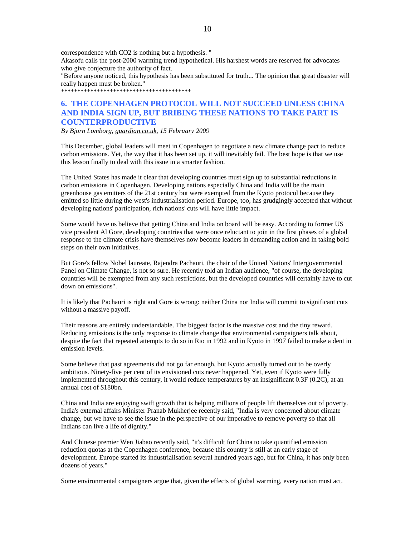correspondence with CO2 is nothing but a hypothesis. "

Akasofu calls the post-2000 warming trend hypothetical. His harshest words are reserved for advocates who give conjecture the authority of fact.

"Before anyone noticed, this hypothesis has been substituted for truth... The opinion that great disaster will really happen must be broken."

\*\*\*\*\*\*\*\*\*\*\*\*\*\*\*\*\*\*\*\*\*\*\*\*\*\*\*\*\*\*\*\*\*\*\*\*\*\*\*\*

# **6. THE COPENHAGEN PROTOCOL WILL NOT SUCCEED UNLESS CHINA AND INDIA SIGN UP, BUT BRIBING THESE NATIONS TO TAKE PART IS COUNTERPRODUCTIVE**

*By Bjorn Lomborg, guardian.co.uk, 15 February 2009* 

This December, global leaders will meet in Copenhagen to negotiate a new climate change pact to reduce carbon emissions. Yet, the way that it has been set up, it will inevitably fail. The best hope is that we use this lesson finally to deal with this issue in a smarter fashion.

The United States has made it clear that developing countries must sign up to substantial reductions in carbon emissions in Copenhagen. Developing nations especially China and India will be the main greenhouse gas emitters of the 21st century but were exempted from the Kyoto protocol because they emitted so little during the west's industrialisation period. Europe, too, has grudgingly accepted that without developing nations' participation, rich nations' cuts will have little impact.

Some would have us believe that getting China and India on board will be easy. According to former US vice president Al Gore, developing countries that were once reluctant to join in the first phases of a global response to the climate crisis have themselves now become leaders in demanding action and in taking bold steps on their own initiatives.

But Gore's fellow Nobel laureate, Rajendra Pachauri, the chair of the United Nations' Intergovernmental Panel on Climate Change, is not so sure. He recently told an Indian audience, "of course, the developing countries will be exempted from any such restrictions, but the developed countries will certainly have to cut down on emissions".

It is likely that Pachauri is right and Gore is wrong: neither China nor India will commit to significant cuts without a massive payoff.

Their reasons are entirely understandable. The biggest factor is the massive cost and the tiny reward. Reducing emissions is the only response to climate change that environmental campaigners talk about, despite the fact that repeated attempts to do so in Rio in 1992 and in Kyoto in 1997 failed to make a dent in emission levels.

Some believe that past agreements did not go far enough, but Kyoto actually turned out to be overly ambitious. Ninety-five per cent of its envisioned cuts never happened. Yet, even if Kyoto were fully implemented throughout this century, it would reduce temperatures by an insignificant 0.3F (0.2C), at an annual cost of \$180bn.

China and India are enjoying swift growth that is helping millions of people lift themselves out of poverty. India's external affairs Minister Pranab Mukherjee recently said, "India is very concerned about climate change, but we have to see the issue in the perspective of our imperative to remove poverty so that all Indians can live a life of dignity."

And Chinese premier Wen Jiabao recently said, "it's difficult for China to take quantified emission reduction quotas at the Copenhagen conference, because this country is still at an early stage of development. Europe started its industrialisation several hundred years ago, but for China, it has only been dozens of years."

Some environmental campaigners argue that, given the effects of global warming, every nation must act.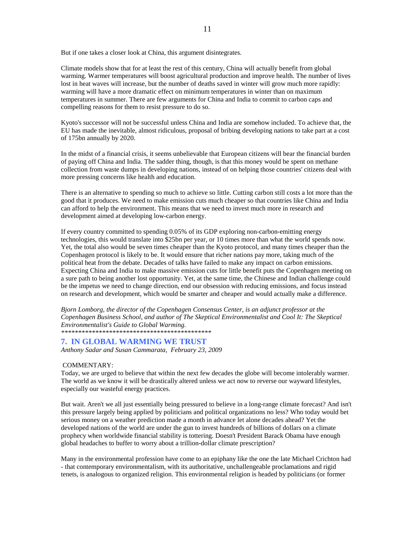But if one takes a closer look at China, this argument disintegrates.

Climate models show that for at least the rest of this century, China will actually benefit from global warming. Warmer temperatures will boost agricultural production and improve health. The number of lives lost in heat waves will increase, but the number of deaths saved in winter will grow much more rapidly: warming will have a more dramatic effect on minimum temperatures in winter than on maximum temperatures in summer. There are few arguments for China and India to commit to carbon caps and compelling reasons for them to resist pressure to do so.

Kyoto's successor will not be successful unless China and India are somehow included. To achieve that, the EU has made the inevitable, almost ridiculous, proposal of bribing developing nations to take part at a cost of 175bn annually by 2020.

In the midst of a financial crisis, it seems unbelievable that European citizens will bear the financial burden of paying off China and India. The sadder thing, though, is that this money would be spent on methane collection from waste dumps in developing nations, instead of on helping those countries' citizens deal with more pressing concerns like health and education.

There is an alternative to spending so much to achieve so little. Cutting carbon still costs a lot more than the good that it produces. We need to make emission cuts much cheaper so that countries like China and India can afford to help the environment. This means that we need to invest much more in research and development aimed at developing low-carbon energy.

If every country committed to spending 0.05% of its GDP exploring non-carbon-emitting energy technologies, this would translate into \$25bn per year, or 10 times more than what the world spends now. Yet, the total also would be seven times cheaper than the Kyoto protocol, and many times cheaper than the Copenhagen protocol is likely to be. It would ensure that richer nations pay more, taking much of the political heat from the debate. Decades of talks have failed to make any impact on carbon emissions. Expecting China and India to make massive emission cuts for little benefit puts the Copenhagen meeting on a sure path to being another lost opportunity. Yet, at the same time, the Chinese and Indian challenge could be the impetus we need to change direction, end our obsession with reducing emissions, and focus instead on research and development, which would be smarter and cheaper and would actually make a difference.

*Bjorn Lomborg, the director of the Copenhagen Consensus Center, is an adjunct professor at the Copenhagen Business School, and author of The Skeptical Environmentalist and Cool It: The Skeptical Environmentalist's Guide to Global Warming. \*\*\*\*\*\*\*\*\*\*\*\*\*\*\*\*\*\*\*\*\*\*\*\*\*\*\*\*\*\*\*\*\*\*\*\*\*\*\*\*\*\*\*\** 

## **7. IN GLOBAL WARMING WE TRUST**

*Anthony Sadar and Susan Cammarata, February 23, 2009* 

#### COMMENTARY:

Today, we are urged to believe that within the next few decades the globe will become intolerably warmer. The world as we know it will be drastically altered unless we act now to reverse our wayward lifestyles, especially our wasteful energy practices.

But wait. Aren't we all just essentially being pressured to believe in a long-range climate forecast? And isn't this pressure largely being applied by politicians and political organizations no less? Who today would bet serious money on a weather prediction made a month in advance let alone decades ahead? Yet the developed nations of the world are under the gun to invest hundreds of billions of dollars on a climate prophecy when worldwide financial stability is tottering. Doesn't President Barack Obama have enough global headaches to buffer to worry about a trillion-dollar climate prescription?

Many in the environmental profession have come to an epiphany like the one the late Michael Crichton had - that contemporary environmentalism, with its authoritative, unchallengeable proclamations and rigid tenets, is analogous to organized religion. This environmental religion is headed by politicians (or former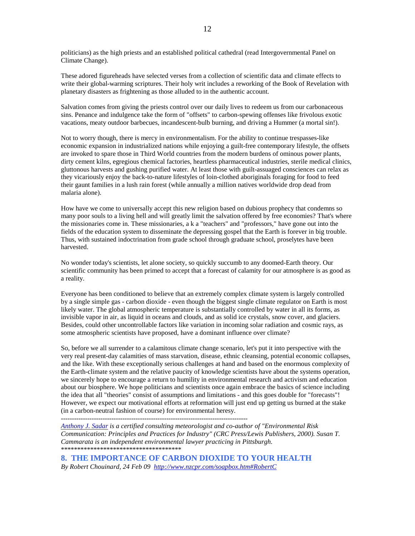politicians) as the high priests and an established political cathedral (read Intergovernmental Panel on Climate Change).

These adored figureheads have selected verses from a collection of scientific data and climate effects to write their global-warming scriptures. Their holy writ includes a reworking of the Book of Revelation with planetary disasters as frightening as those alluded to in the authentic account.

Salvation comes from giving the priests control over our daily lives to redeem us from our carbonaceous sins. Penance and indulgence take the form of "offsets" to carbon-spewing offenses like frivolous exotic vacations, meaty outdoor barbecues, incandescent-bulb burning, and driving a Hummer (a mortal sin!).

Not to worry though, there is mercy in environmentalism. For the ability to continue trespasses-like economic expansion in industrialized nations while enjoying a guilt-free contemporary lifestyle, the offsets are invoked to spare those in Third World countries from the modern burdens of ominous power plants, dirty cement kilns, egregious chemical factories, heartless pharmaceutical industries, sterile medical clinics, gluttonous harvests and gushing purified water. At least those with guilt-assuaged consciences can relax as they vicariously enjoy the back-to-nature lifestyles of loin-clothed aboriginals foraging for food to feed their gaunt families in a lush rain forest (while annually a million natives worldwide drop dead from malaria alone).

How have we come to universally accept this new religion based on dubious prophecy that condemns so many poor souls to a living hell and will greatly limit the salvation offered by free economies? That's where the missionaries come in. These missionaries, a k a "teachers" and "professors," have gone out into the fields of the education system to disseminate the depressing gospel that the Earth is forever in big trouble. Thus, with sustained indoctrination from grade school through graduate school, proselytes have been harvested.

No wonder today's scientists, let alone society, so quickly succumb to any doomed-Earth theory. Our scientific community has been primed to accept that a forecast of calamity for our atmosphere is as good as a reality.

Everyone has been conditioned to believe that an extremely complex climate system is largely controlled by a single simple gas - carbon dioxide - even though the biggest single climate regulator on Earth is most likely water. The global atmospheric temperature is substantially controlled by water in all its forms, as invisible vapor in air, as liquid in oceans and clouds, and as solid ice crystals, snow cover, and glaciers. Besides, could other uncontrollable factors like variation in incoming solar radiation and cosmic rays, as some atmospheric scientists have proposed, have a dominant influence over climate?

So, before we all surrender to a calamitous climate change scenario, let's put it into perspective with the very real present-day calamities of mass starvation, disease, ethnic cleansing, potential economic collapses, and the like. With these exceptionally serious challenges at hand and based on the enormous complexity of the Earth-climate system and the relative paucity of knowledge scientists have about the systems operation, we sincerely hope to encourage a return to humility in environmental research and activism and education about our biosphere. We hope politicians and scientists once again embrace the basics of science including the idea that all "theories" consist of assumptions and limitations - and this goes double for "forecasts"! However, we expect our motivational efforts at reformation will just end up getting us burned at the stake (in a carbon-neutral fashion of course) for environmental heresy.

-------------------------------------------------------------------------------------

*Anthony J. Sadar is a certified consulting meteorologist and co-author of "Environmental Risk Communication: Principles and Practices for Industry" (CRC Press/Lewis Publishers, 2000). Susan T. Cammarata is an independent environmental lawyer practicing in Pittsburgh.*  \*\*\*\*\*\*\*\*\*\*\*\*\*\*\*\*\*\*\*\*\*\*\*\*\*\*\*\*\*\*\*\*\*\*\*\*\*

**8. THE IMPORTANCE OF CARBON DIOXIDE TO YOUR HEALTH**  *By Robert Chouinard, 24 Feb 09 http://www.nzcpr.com/soapbox.htm#RobertC*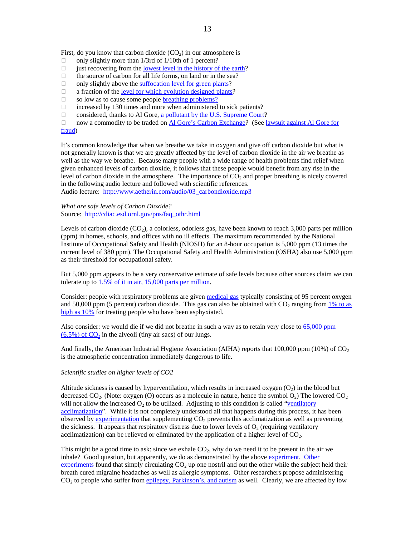First, do you know that carbon dioxide  $(CO<sub>2</sub>)$  in our atmosphere is only slightly more than 1/3rd of 1/10th of 1 percent? just recovering from the lowest level in the history of the earth? the source of carbon for all life forms, on land or in the sea? only slightly above the suffocation level for green plants? a fraction of the level for which evolution designed plants? so low as to cause some people breathing problems? increased by 130 times and more when administered to sick patients? considered, thanks to Al Gore, a pollutant by the U.S. Supreme Court? now a commodity to be traded on Al Gore's Carbon Exchange? (See lawsuit against Al Gore for

#### fraud)

It's common knowledge that when we breathe we take in oxygen and give off carbon dioxide but what is not generally known is that we are greatly affected by the level of carbon dioxide in the air we breathe as well as the way we breathe. Because many people with a wide range of health problems find relief when given enhanced levels of carbon dioxide, it follows that these people would benefit from any rise in the level of carbon dioxide in the atmosphere. The importance of  $CO<sub>2</sub>$  and proper breathing is nicely covered in the following audio lecture and followed with scientific references. Audio lecture: http://www.aetherin.com/audio/03\_carbondioxide.mp3

### *What are safe levels of Carbon Dioxide?*  Source: http://cdiac.esd.ornl.gov/pns/faq\_othr.html

Levels of carbon dioxide  $(CO<sub>2</sub>)$ , a colorless, odorless gas, have been known to reach 3,000 parts per million (ppm) in homes, schools, and offices with no ill effects. The maximum recommended by the National Institute of Occupational Safety and Health (NIOSH) for an 8-hour occupation is 5,000 ppm (13 times the current level of 380 ppm). The Occupational Safety and Health Administration (OSHA) also use 5,000 ppm as their threshold for occupational safety.

But 5,000 ppm appears to be a very conservative estimate of safe levels because other sources claim we can tolerate up to 1.5% of it in air, 15,000 parts per million.

Consider: people with respiratory problems are given medical gas typically consisting of 95 percent oxygen and 50,000 ppm (5 percent) carbon dioxide. This gas can also be obtained with  $CO<sub>2</sub>$  ranging from  $1\%$  to as high as 10% for treating people who have been asphyxiated.

Also consider: we would die if we did not breathe in such a way as to retain very close to 65,000 ppm  $(6.5\%)$  of CO<sub>2</sub> in the alveoli (tiny air sacs) of our lungs.

And finally, the American Industrial Hygiene Association (AIHA) reports that  $100,000$  ppm ( $10\%$ ) of  $CO<sub>2</sub>$ is the atmospheric concentration immediately dangerous to life.

#### *Scientific studies on higher levels of CO2*

Altitude sickness is caused by hyperventilation, which results in increased oxygen  $(O_2)$  in the blood but decreased CO<sub>2</sub>. (Note: oxygen (O) occurs as a molecule in nature, hence the symbol O<sub>2</sub>) The lowered CO<sub>2</sub> will not allow the increased  $O<sub>2</sub>$  to be utilized. Adjusting to this condition is called "ventilatory" acclimatization". While it is not completely understood all that happens during this process, it has been observed by  $\frac{experimation}{ex}$  that supplementing  $CO<sub>2</sub>$  prevents this acclimatization as well as preventing the sickness. It appears that respiratory distress due to lower levels of  $O<sub>2</sub>$  (requiring ventilatory acclimatization) can be relieved or eliminated by the application of a higher level of  $CO<sub>2</sub>$ .

This might be a good time to ask: since we exhale  $CO<sub>2</sub>$ , why do we need it to be present in the air we inhale? Good question, but apparently, we do as demonstrated by the above experiment. Other experiments found that simply circulating  $CO<sub>2</sub>$  up one nostril and out the other while the subject held their breath cured migraine headaches as well as allergic symptoms. Other researchers propose administering  $CO<sub>2</sub>$  to people who suffer from epilepsy, Parkinson's, and autism as well. Clearly, we are affected by low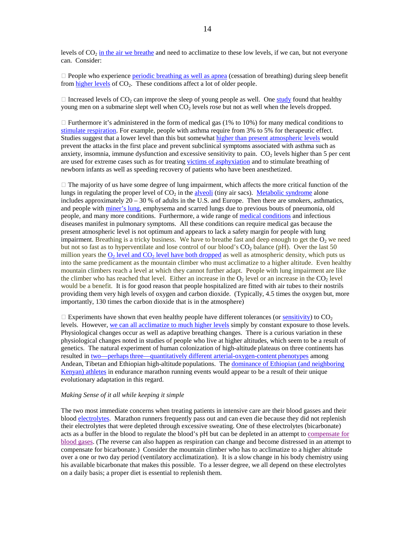levels of  $CO<sub>2</sub>$  in the air we breathe and need to acclimatize to these low levels, if we can, but not everyone can. Consider:

People who experience periodic breathing as well as apnea (cessation of breathing) during sleep benefit from higher levels of  $CO<sub>2</sub>$ . These conditions affect a lot of older people.

Increased levels of  $CO<sub>2</sub>$  can improve the sleep of young people as well. One study found that healthy young men on a submarine slept well when  $CO<sub>2</sub>$  levels rose but not as well when the levels dropped.

 Furthermore it's administered in the form of medical gas (1% to 10%) for many medical conditions to stimulate respiration. For example, people with asthma require from 3% to 5% for therapeutic effect. Studies suggest that a lower level than this but somewhat higher than present atmospheric levels would prevent the attacks in the first place and prevent subclinical symptoms associated with asthma such as anxiety, insomnia, immune dysfunction and excessive sensitivity to pain.  $CO<sub>2</sub>$  levels higher than 5 per cent are used for extreme cases such as for treating victims of asphyxiation and to stimulate breathing of newborn infants as well as speeding recovery of patients who have been anesthetized.

 The majority of us have some degree of lung impairment, which affects the more critical function of the lungs in regulating the proper level of  $CO<sub>2</sub>$  in the alveoli (tiny air sacs). Metabolic syndrome alone includes approximately  $20 - 30$  % of adults in the U.S. and Europe. Then there are smokers, asthmatics, and people with miner's lung, emphysema and scarred lungs due to previous bouts of pneumonia, old people, and many more conditions. Furthermore, a wide range of medical conditions and infectious diseases manifest in pulmonary symptoms. All these conditions can require medical gas because the present atmospheric level is not optimum and appears to lack a safety margin for people with lung impairment. Breathing is a tricky business. We have to breathe fast and deep enough to get the  $O_2$  we need but not so fast as to hyperventilate and lose control of our blood's  $CO<sub>2</sub>$  balance (pH). Over the last 50 million years the  $O_2$  level and  $CO_2$  level have both dropped as well as atmospheric density, which puts us into the same predicament as the mountain climber who must acclimatize to a higher altitude. Even healthy mountain climbers reach a level at which they cannot further adapt. People with lung impairment are like the climber who has reached that level. Either an increase in the  $O_2$  level or an increase in the  $CO_2$  level would be a benefit. It is for good reason that people hospitalized are fitted with air tubes to their nostrils providing them very high levels of oxygen and carbon dioxide. (Typically, 4.5 times the oxygen but, more importantly, 130 times the carbon dioxide that is in the atmosphere)

Experiments have shown that even healthy people have different tolerances (or sensitivity) to  $CO<sub>2</sub>$ levels. However, we can all acclimatize to much higher levels simply by constant exposure to those levels. Physiological changes occur as well as adaptive breathing changes. There is a curious variation in these physiological changes noted in studies of people who live at higher altitudes, which seem to be a result of genetics. The natural experiment of human colonization of high-altitude plateaus on three continents has resulted in two—perhaps three—quantitatively different arterial-oxygen-content phenotypes among Andean, Tibetan and Ethiopian high-altitude populations. The dominance of Ethiopian (and neighboring Kenyan) athletes in endurance marathon running events would appear to be a result of their unique evolutionary adaptation in this regard.

#### *Making Sense of it all while keeping it simple*

The two most immediate concerns when treating patients in intensive care are their blood gasses and their blood electrolytes. Marathon runners frequently pass out and can even die because they did not replenish their electrolytes that were depleted through excessive sweating. One of these electrolytes (bicarbonate) acts as a buffer in the blood to regulate the blood's pH but can be depleted in an attempt to compensate for blood gases. (The reverse can also happen as respiration can change and become distressed in an attempt to compensate for bicarbonate.) Consider the mountain climber who has to acclimatize to a higher altitude over a one or two day period (ventilatory acclimatization). It is a slow change in his body chemistry using his available bicarbonate that makes this possible. To a lesser degree, we all depend on these electrolytes on a daily basis; a proper diet is essential to replenish them.